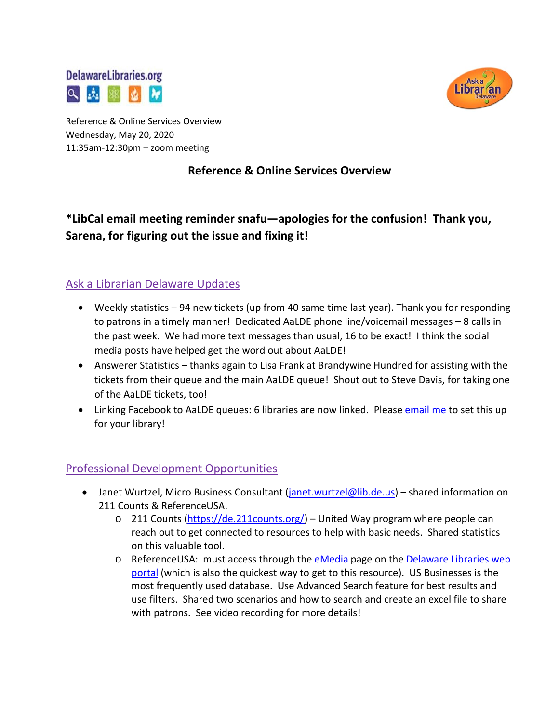



Reference & Online Services Overview Wednesday, May 20, 2020 11:35am-12:30pm – zoom meeting

#### **Reference & Online Services Overview**

# **\*LibCal email meeting reminder snafu—apologies for the confusion! Thank you, Sarena, for figuring out the issue and fixing it!**

### Ask a Librarian Delaware Updates

- Weekly statistics 94 new tickets (up from 40 same time last year). Thank you for responding to patrons in a timely manner! Dedicated AaLDE phone line/voicemail messages – 8 calls in the past week. We had more text messages than usual, 16 to be exact! I think the social media posts have helped get the word out about AaLDE!
- Answerer Statistics thanks again to Lisa Frank at Brandywine Hundred for assisting with the tickets from their queue and the main AaLDE queue! Shout out to Steve Davis, for taking one of the AaLDE tickets, too!
- Linking Facebook to AaLDE queues: 6 libraries are now linked. Pleas[e email me](mailto:missy.williams@lib.de.us) to set this up for your library!

### Professional Development Opportunities

- Janet Wurtzel, Micro Business Consultant (*janet.wurtzel@lib.de.us*) shared information on 211 Counts & ReferenceUSA.
	- o 211 Counts [\(https://de.211counts.org/\)](https://de.211counts.org/) United Way program where people can reach out to get connected to resources to help with basic needs. Shared statistics on this valuable tool.
	- o ReferenceUSA: must access through the [eMedia](https://lib.de.us/emedia/) page on the [Delaware Libraries web](https://lib.de.us/)  [portal](https://lib.de.us/) (which is also the quickest way to get to this resource). US Businesses is the most frequently used database. Use Advanced Search feature for best results and use filters. Shared two scenarios and how to search and create an excel file to share with patrons. See video recording for more details!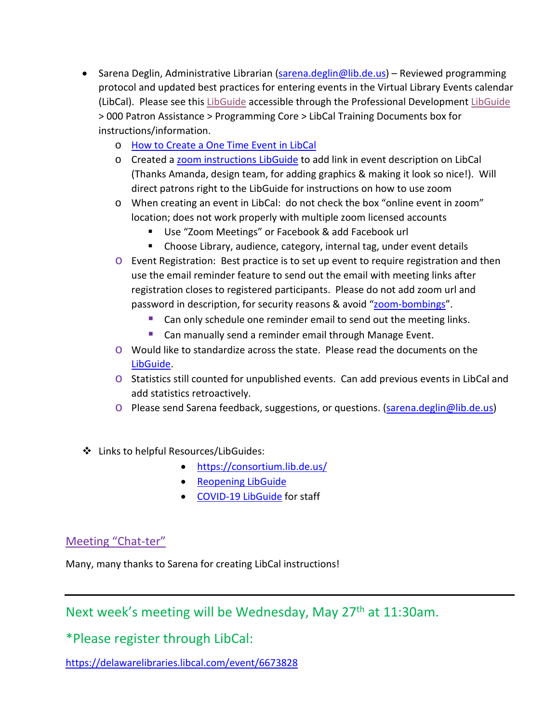- Sarena Deglin, Administrative Librarian [\(sarena.deglin@lib.de.us\)](mailto:sarena.deglin@lib.de.us) Reviewed programming protocol and updated best practices for entering events in the Virtual Library Events calendar (LibCal). Please see thi[s LibGuide](https://guides.lib.de.us/c.php?g=386101&p=2620042) accessible through the Professional Development [LibGuide](https://guides.lib.de.us/profdev) > 000 Patron Assistance > Programming Core > LibCal Training Documents box for instructions/information.
	- o [How to Create a One Time Event in LibCal](https://guides.lib.de.us/ld.php?content_id=54629510)
	- o Created a [zoom instructions LibGuide](https://guides.lib.de.us/zoominstructions) to add link in event description on LibCal (Thanks Amanda, design team, for adding graphics & making it look so nice!). Will direct patrons right to the LibGuide for instructions on how to use zoom
	- o When creating an event in LibCal: do not check the box "online event in zoom" location; does not work properly with multiple zoom licensed accounts
		- Use "Zoom Meetings" or Facebook & add Facebook url
		- Choose Library, audience, category, internal tag, under event details
	- o Event Registration: Best practice is to set up event to require registration and then use the email reminder feature to send out the email with meeting links after registration closes to registered participants. Please do not add zoom url and password in description, for security reasons & avoid ["zoom-bombings"](https://www.bing.com/news/search?q=Zoom+Bombing&qpvt=zoom+bombing&FORM=EWRE).
		- Can only schedule one reminder email to send out the meeting links.
		- **Can manually send a reminder email through Manage Event.**
	- o Would like to standardize across the state. Please read the documents on the [LibGuide.](https://guides.lib.de.us/c.php?g=386101&p=2620042)
	- o Statistics still counted for unpublished events. Can add previous events in LibCal and add statistics retroactively.
	- o Please send Sarena feedback, suggestions, or questions. [\(sarena.deglin@lib.de.us\)](mailto:sarena.deglin@lib.de.us)
- Links to helpful Resources/LibGuides:
	- <https://consortium.lib.de.us/>
	- [Reopening LibGuide](https://guides.lib.de.us/delibraries/COVID-19/reopening)
	- [COVID-19 LibGuide](https://guides.lib.de.us/delibraries/COVID-19) for staff

## Meeting "Chat-ter"

Many, many thanks to Sarena for creating LibCal instructions!

Next week's meeting will be Wednesday, May 27<sup>th</sup> at 11:30am.

\*Please register through LibCal:

<https://delawarelibraries.libcal.com/event/6673828>